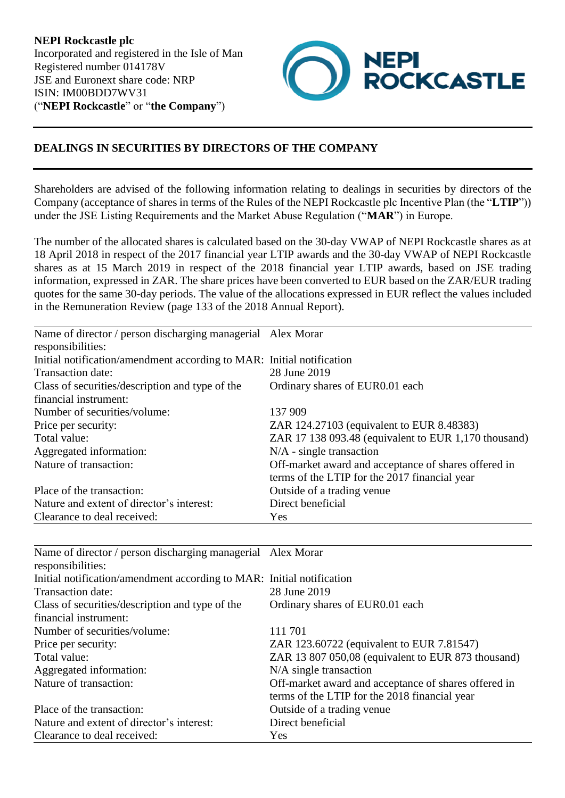

## **DEALINGS IN SECURITIES BY DIRECTORS OF THE COMPANY**

Shareholders are advised of the following information relating to dealings in securities by directors of the Company (acceptance of shares in terms of the Rules of the NEPI Rockcastle plc Incentive Plan (the "**LTIP**")) under the JSE Listing Requirements and the Market Abuse Regulation ("**MAR**") in Europe.

The number of the allocated shares is calculated based on the 30-day VWAP of NEPI Rockcastle shares as at 18 April 2018 in respect of the 2017 financial year LTIP awards and the 30-day VWAP of NEPI Rockcastle shares as at 15 March 2019 in respect of the 2018 financial year LTIP awards, based on JSE trading information, expressed in ZAR. The share prices have been converted to EUR based on the ZAR/EUR trading quotes for the same 30-day periods. The value of the allocations expressed in EUR reflect the values included in the Remuneration Review (page 133 of the 2018 Annual Report).

| Name of director / person discharging managerial Alex Morar<br>responsibilities: |                                                                                                       |
|----------------------------------------------------------------------------------|-------------------------------------------------------------------------------------------------------|
| Initial notification/amendment according to MAR: Initial notification            |                                                                                                       |
| Transaction date:                                                                | 28 June 2019                                                                                          |
| Class of securities/description and type of the                                  | Ordinary shares of EUR0.01 each                                                                       |
| financial instrument:                                                            |                                                                                                       |
| Number of securities/volume:                                                     | 137 909                                                                                               |
| Price per security:                                                              | ZAR 124.27103 (equivalent to EUR 8.48383)                                                             |
| Total value:                                                                     | ZAR 17 138 093.48 (equivalent to EUR 1,170 thousand)                                                  |
| Aggregated information:                                                          | $N/A$ - single transaction                                                                            |
| Nature of transaction:                                                           | Off-market award and acceptance of shares offered in<br>terms of the LTIP for the 2017 financial year |
| Place of the transaction:                                                        | Outside of a trading venue                                                                            |
| Nature and extent of director's interest:                                        | Direct beneficial                                                                                     |
| Clearance to deal received:                                                      | Yes                                                                                                   |

| Name of director / person discharging managerial Alex Morar<br>responsibilities: |                                                                                                       |
|----------------------------------------------------------------------------------|-------------------------------------------------------------------------------------------------------|
| Initial notification/amendment according to MAR: Initial notification            |                                                                                                       |
| Transaction date:                                                                | 28 June 2019                                                                                          |
| Class of securities/description and type of the                                  | Ordinary shares of EUR0.01 each                                                                       |
| financial instrument:                                                            |                                                                                                       |
| Number of securities/volume:                                                     | 111 701                                                                                               |
| Price per security:                                                              | ZAR 123.60722 (equivalent to EUR 7.81547)                                                             |
| Total value:                                                                     | ZAR 13 807 050,08 (equivalent to EUR 873 thousand)                                                    |
| Aggregated information:                                                          | $N/A$ single transaction                                                                              |
| Nature of transaction:                                                           | Off-market award and acceptance of shares offered in<br>terms of the LTIP for the 2018 financial year |
| Place of the transaction:                                                        | Outside of a trading venue                                                                            |
| Nature and extent of director's interest:                                        | Direct beneficial                                                                                     |
| Clearance to deal received:                                                      | Yes                                                                                                   |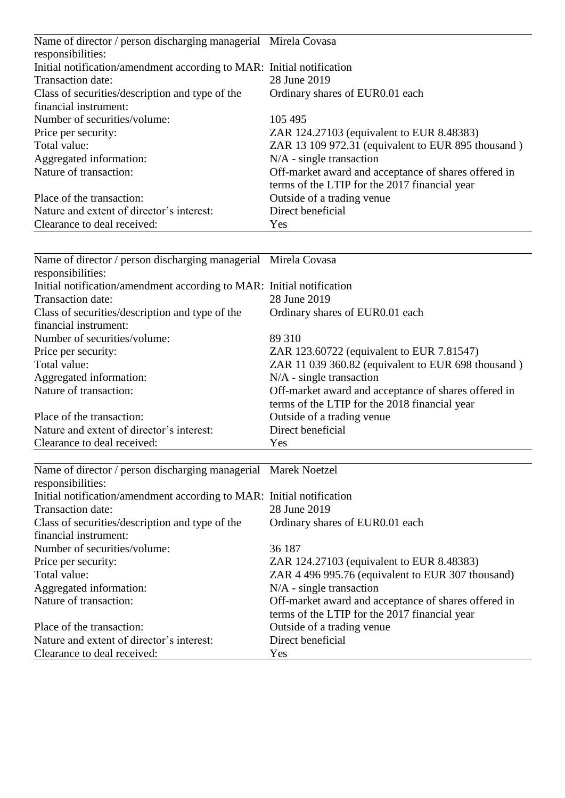| Name of director / person discharging managerial Mirela Covasa        |                                                      |
|-----------------------------------------------------------------------|------------------------------------------------------|
| responsibilities:                                                     |                                                      |
| Initial notification/amendment according to MAR: Initial notification |                                                      |
| Transaction date:                                                     | 28 June 2019                                         |
| Class of securities/description and type of the                       | Ordinary shares of EUR0.01 each                      |
| financial instrument:                                                 |                                                      |
| Number of securities/volume:                                          | 105 495                                              |
| Price per security:                                                   | ZAR 124.27103 (equivalent to EUR 8.48383)            |
| Total value:                                                          | ZAR 13 109 972.31 (equivalent to EUR 895 thousand)   |
| Aggregated information:                                               | $N/A$ - single transaction                           |
| Nature of transaction:                                                | Off-market award and acceptance of shares offered in |
|                                                                       | terms of the LTIP for the 2017 financial year        |
| Place of the transaction:                                             | Outside of a trading venue                           |
| Nature and extent of director's interest:                             | Direct beneficial                                    |
| Clearance to deal received:                                           | Yes                                                  |

| Name of director / person discharging managerial Mirela Covasa        |                                                      |
|-----------------------------------------------------------------------|------------------------------------------------------|
| responsibilities:                                                     |                                                      |
| Initial notification/amendment according to MAR: Initial notification |                                                      |
| Transaction date:                                                     | 28 June 2019                                         |
| Class of securities/description and type of the                       | Ordinary shares of EUR0.01 each                      |
| financial instrument:                                                 |                                                      |
| Number of securities/volume:                                          | 89 310                                               |
| Price per security:                                                   | ZAR 123.60722 (equivalent to EUR 7.81547)            |
| Total value:                                                          | ZAR 11 039 360.82 (equivalent to EUR 698 thousand)   |
| Aggregated information:                                               | $N/A$ - single transaction                           |
| Nature of transaction:                                                | Off-market award and acceptance of shares offered in |
|                                                                       | terms of the LTIP for the 2018 financial year        |
| Place of the transaction:                                             | Outside of a trading venue                           |
| Nature and extent of director's interest:                             | Direct beneficial                                    |
| Clearance to deal received:                                           | Yes                                                  |

| Name of director / person discharging managerial Marek Noetzel        |                                                      |
|-----------------------------------------------------------------------|------------------------------------------------------|
| responsibilities:                                                     |                                                      |
| Initial notification/amendment according to MAR: Initial notification |                                                      |
| Transaction date:                                                     | 28 June 2019                                         |
| Class of securities/description and type of the                       | Ordinary shares of EUR0.01 each                      |
| financial instrument:                                                 |                                                      |
| Number of securities/volume:                                          | 36 187                                               |
| Price per security:                                                   | ZAR 124.27103 (equivalent to EUR 8.48383)            |
| Total value:                                                          | ZAR 4 496 995.76 (equivalent to EUR 307 thousand)    |
| Aggregated information:                                               | $N/A$ - single transaction                           |
| Nature of transaction:                                                | Off-market award and acceptance of shares offered in |
|                                                                       | terms of the LTIP for the 2017 financial year        |
| Place of the transaction:                                             | Outside of a trading venue                           |
| Nature and extent of director's interest:                             | Direct beneficial                                    |
| Clearance to deal received:                                           | Yes                                                  |